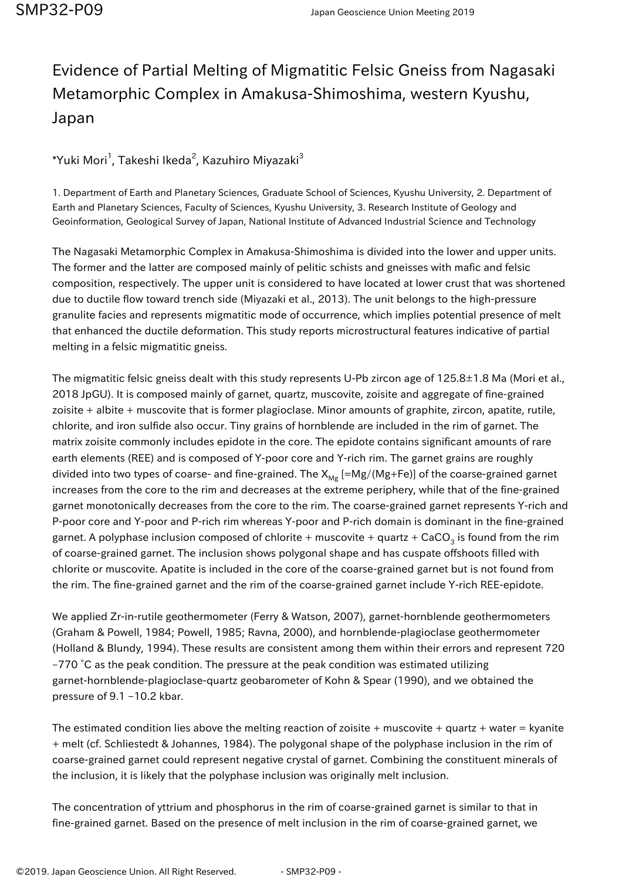## Evidence of Partial Melting of Migmatitic Felsic Gneiss from Nagasaki Metamorphic Complex in Amakusa-Shimoshima, western Kyushu, Japan

 $^*$ Yuki Mori $^1$ , Takeshi Ikeda $^2$ , Kazuhiro Miyazaki $^3$ 

1. Department of Earth and Planetary Sciences, Graduate School of Sciences, Kyushu University, 2. Department of Earth and Planetary Sciences, Faculty of Sciences, Kyushu University, 3. Research Institute of Geology and Geoinformation, Geological Survey of Japan, National Institute of Advanced Industrial Science and Technology

The Nagasaki Metamorphic Complex in Amakusa-Shimoshima is divided into the lower and upper units. The former and the latter are composed mainly of pelitic schists and gneisses with mafic and felsic composition, respectively. The upper unit is considered to have located at lower crust that was shortened due to ductile flow toward trench side (Miyazaki et al., 2013). The unit belongs to the high-pressure granulite facies and represents migmatitic mode of occurrence, which implies potential presence of melt that enhanced the ductile deformation. This study reports microstructural features indicative of partial melting in a felsic migmatitic gneiss.

The migmatitic felsic gneiss dealt with this study represents U-Pb zircon age of 125.8±1.8 Ma (Mori et al., 2018 JpGU). It is composed mainly of garnet, quartz, muscovite, zoisite and aggregate of fine-grained zoisite + albite + muscovite that is former plagioclase. Minor amounts of graphite, zircon, apatite, rutile, chlorite, and iron sulfide also occur. Tiny grains of hornblende are included in the rim of garnet. The matrix zoisite commonly includes epidote in the core. The epidote contains significant amounts of rare earth elements (REE) and is composed of Y-poor core and Y-rich rim. The garnet grains are roughly divided into two types of coarse- and fine-grained. The  $X_{Mg}$  [=Mg/(Mg+Fe)] of the coarse-grained garnet increases from the core to the rim and decreases at the extreme periphery, while that of the fine-grained garnet monotonically decreases from the core to the rim. The coarse-grained garnet represents Y-rich and P-poor core and Y-poor and P-rich rim whereas Y-poor and P-rich domain is dominant in the fine-grained garnet. A polyphase inclusion composed of chlorite + muscovite + quartz + CaCO $_{\scriptscriptstyle 3}$  is found from the rim of coarse-grained garnet. The inclusion shows polygonal shape and has cuspate offshoots filled with chlorite or muscovite. Apatite is included in the core of the coarse-grained garnet but is not found from the rim. The fine-grained garnet and the rim of the coarse-grained garnet include Y-rich REE-epidote.

We applied Zr-in-rutile geothermometer (Ferry & Watson, 2007), garnet-hornblende geothermometers (Graham & Powell, 1984; Powell, 1985; Ravna, 2000), and hornblende-plagioclase geothermometer (Holland & Blundy, 1994). These results are consistent among them within their errors and represent 720 –770 °C as the peak condition. The pressure at the peak condition was estimated utilizing garnet-hornblende-plagioclase-quartz geobarometer of Kohn & Spear (1990), and we obtained the pressure of 9.1 –10.2 kbar.

The estimated condition lies above the melting reaction of zoisite + muscovite + quartz + water = kyanite + melt (cf. Schliestedt & Johannes, 1984). The polygonal shape of the polyphase inclusion in the rim of coarse-grained garnet could represent negative crystal of garnet. Combining the constituent minerals of the inclusion, it is likely that the polyphase inclusion was originally melt inclusion.

The concentration of yttrium and phosphorus in the rim of coarse-grained garnet is similar to that in fine-grained garnet. Based on the presence of melt inclusion in the rim of coarse-grained garnet, we